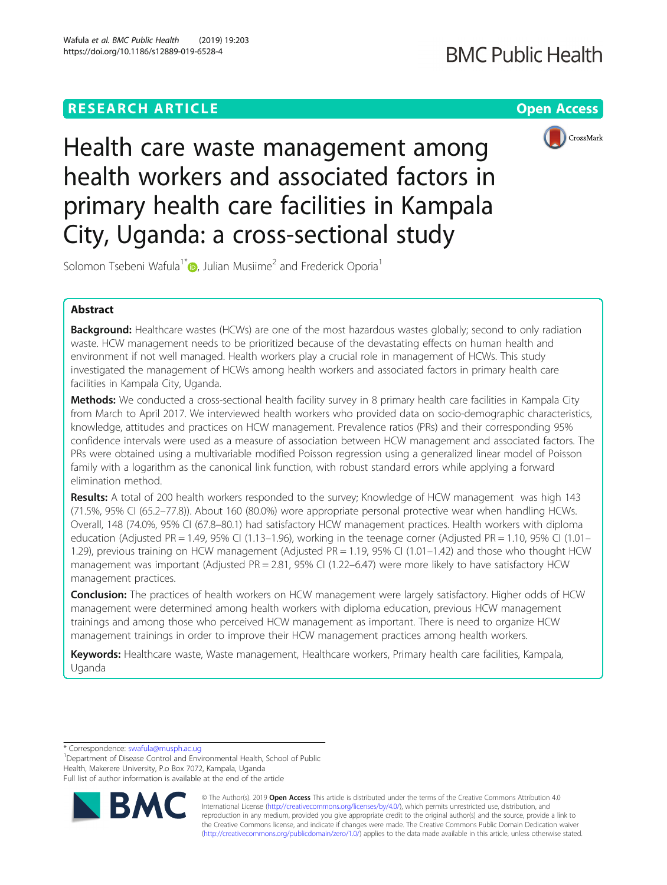# **RESEARCH ARTICLE Example 2014 12:30 The Company Access Open Access**



Health care waste management among health workers and associated factors in primary health care facilities in Kampala City, Uganda: a cross-sectional study

Solomon Tsebeni Wafula<sup>1\*</sup> , Julian Musiime<sup>2</sup> and Frederick Oporia<sup>1</sup>

## Abstract

**Background:** Healthcare wastes (HCWs) are one of the most hazardous wastes globally; second to only radiation waste. HCW management needs to be prioritized because of the devastating effects on human health and environment if not well managed. Health workers play a crucial role in management of HCWs. This study investigated the management of HCWs among health workers and associated factors in primary health care facilities in Kampala City, Uganda.

Methods: We conducted a cross-sectional health facility survey in 8 primary health care facilities in Kampala City from March to April 2017. We interviewed health workers who provided data on socio-demographic characteristics, knowledge, attitudes and practices on HCW management. Prevalence ratios (PRs) and their corresponding 95% confidence intervals were used as a measure of association between HCW management and associated factors. The PRs were obtained using a multivariable modified Poisson regression using a generalized linear model of Poisson family with a logarithm as the canonical link function, with robust standard errors while applying a forward elimination method.

**Results:** A total of 200 health workers responded to the survey; Knowledge of HCW management was high 143 (71.5%, 95% CI (65.2–77.8)). About 160 (80.0%) wore appropriate personal protective wear when handling HCWs. Overall, 148 (74.0%, 95% CI (67.8–80.1) had satisfactory HCW management practices. Health workers with diploma education (Adjusted PR = 1.49, 95% CI (1.13–1.96), working in the teenage corner (Adjusted PR = 1.10, 95% CI (1.01– 1.29), previous training on HCW management (Adjusted PR = 1.19, 95% CI (1.01–1.42) and those who thought HCW management was important (Adjusted PR = 2.81, 95% CI (1.22–6.47) were more likely to have satisfactory HCW management practices.

**Conclusion:** The practices of health workers on HCW management were largely satisfactory. Higher odds of HCW management were determined among health workers with diploma education, previous HCW management trainings and among those who perceived HCW management as important. There is need to organize HCW management trainings in order to improve their HCW management practices among health workers.

Keywords: Healthcare waste, Waste management, Healthcare workers, Primary health care facilities, Kampala, Uganda

\* Correspondence: [swafula@musph.ac.ug](mailto:swafula@musph.ac.ug) <sup>1</sup>

<sup>1</sup>Department of Disease Control and Environmental Health, School of Public Health, Makerere University, P.o Box 7072, Kampala, Uganda Full list of author information is available at the end of the article



© The Author(s). 2019 Open Access This article is distributed under the terms of the Creative Commons Attribution 4.0 International License [\(http://creativecommons.org/licenses/by/4.0/](http://creativecommons.org/licenses/by/4.0/)), which permits unrestricted use, distribution, and reproduction in any medium, provided you give appropriate credit to the original author(s) and the source, provide a link to the Creative Commons license, and indicate if changes were made. The Creative Commons Public Domain Dedication waiver [\(http://creativecommons.org/publicdomain/zero/1.0/](http://creativecommons.org/publicdomain/zero/1.0/)) applies to the data made available in this article, unless otherwise stated.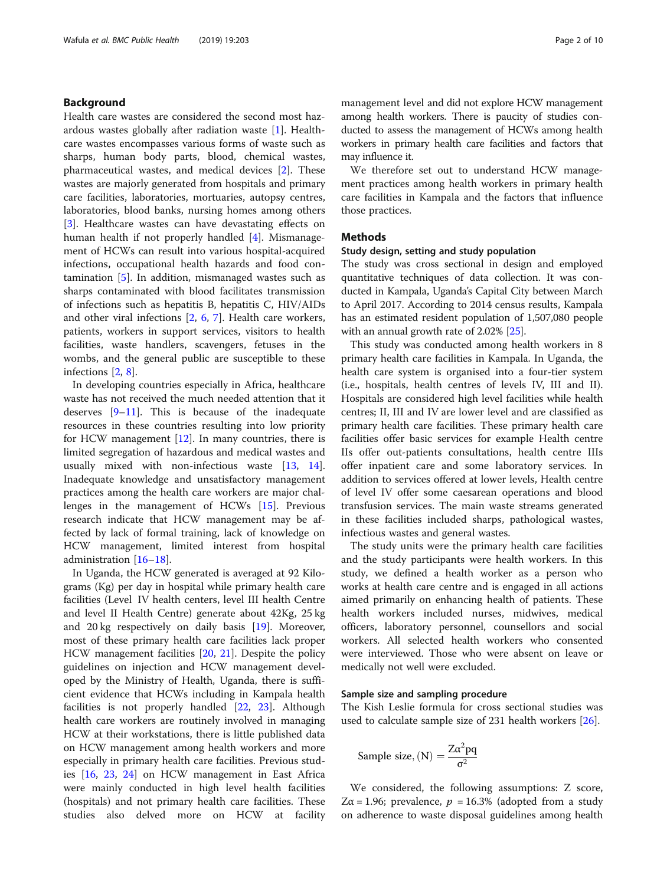### Background

Health care wastes are considered the second most hazardous wastes globally after radiation waste [[1](#page-8-0)]. Healthcare wastes encompasses various forms of waste such as sharps, human body parts, blood, chemical wastes, pharmaceutical wastes, and medical devices [\[2](#page-8-0)]. These wastes are majorly generated from hospitals and primary care facilities, laboratories, mortuaries, autopsy centres, laboratories, blood banks, nursing homes among others [[3\]](#page-8-0). Healthcare wastes can have devastating effects on human health if not properly handled [\[4](#page-8-0)]. Mismanagement of HCWs can result into various hospital-acquired infections, occupational health hazards and food contamination [\[5\]](#page-8-0). In addition, mismanaged wastes such as sharps contaminated with blood facilitates transmission of infections such as hepatitis B, hepatitis C, HIV/AIDs and other viral infections [[2,](#page-8-0) [6,](#page-8-0) [7](#page-8-0)]. Health care workers, patients, workers in support services, visitors to health facilities, waste handlers, scavengers, fetuses in the wombs, and the general public are susceptible to these infections [[2](#page-8-0), [8](#page-8-0)].

In developing countries especially in Africa, healthcare waste has not received the much needed attention that it deserves  $[9-11]$  $[9-11]$  $[9-11]$ . This is because of the inadequate resources in these countries resulting into low priority for HCW management [\[12\]](#page-8-0). In many countries, there is limited segregation of hazardous and medical wastes and usually mixed with non-infectious waste [\[13,](#page-8-0) [14](#page-8-0)]. Inadequate knowledge and unsatisfactory management practices among the health care workers are major challenges in the management of HCWs [[15\]](#page-8-0). Previous research indicate that HCW management may be affected by lack of formal training, lack of knowledge on HCW management, limited interest from hospital administration [\[16](#page-8-0)–[18\]](#page-8-0).

In Uganda, the HCW generated is averaged at 92 Kilograms (Kg) per day in hospital while primary health care facilities (Level IV health centers, level III health Centre and level II Health Centre) generate about 42Kg, 25 kg and 20 kg respectively on daily basis [\[19\]](#page-8-0). Moreover, most of these primary health care facilities lack proper HCW management facilities [[20,](#page-8-0) [21](#page-8-0)]. Despite the policy guidelines on injection and HCW management developed by the Ministry of Health, Uganda, there is sufficient evidence that HCWs including in Kampala health facilities is not properly handled [\[22,](#page-8-0) [23](#page-9-0)]. Although health care workers are routinely involved in managing HCW at their workstations, there is little published data on HCW management among health workers and more especially in primary health care facilities. Previous studies [[16](#page-8-0), [23,](#page-9-0) [24\]](#page-9-0) on HCW management in East Africa were mainly conducted in high level health facilities (hospitals) and not primary health care facilities. These studies also delved more on HCW at facility management level and did not explore HCW management among health workers. There is paucity of studies conducted to assess the management of HCWs among health workers in primary health care facilities and factors that may influence it.

We therefore set out to understand HCW management practices among health workers in primary health care facilities in Kampala and the factors that influence those practices.

### **Methods**

### Study design, setting and study population

The study was cross sectional in design and employed quantitative techniques of data collection. It was conducted in Kampala, Uganda's Capital City between March to April 2017. According to 2014 census results, Kampala has an estimated resident population of 1,507,080 people with an annual growth rate of 2.02% [\[25\]](#page-9-0).

This study was conducted among health workers in 8 primary health care facilities in Kampala. In Uganda, the health care system is organised into a four-tier system (i.e., hospitals, health centres of levels IV, III and II). Hospitals are considered high level facilities while health centres; II, III and IV are lower level and are classified as primary health care facilities. These primary health care facilities offer basic services for example Health centre IIs offer out-patients consultations, health centre IIIs offer inpatient care and some laboratory services. In addition to services offered at lower levels, Health centre of level IV offer some caesarean operations and blood transfusion services. The main waste streams generated in these facilities included sharps, pathological wastes, infectious wastes and general wastes.

The study units were the primary health care facilities and the study participants were health workers. In this study, we defined a health worker as a person who works at health care centre and is engaged in all actions aimed primarily on enhancing health of patients. These health workers included nurses, midwives, medical officers, laboratory personnel, counsellors and social workers. All selected health workers who consented were interviewed. Those who were absent on leave or medically not well were excluded.

### Sample size and sampling procedure

The Kish Leslie formula for cross sectional studies was used to calculate sample size of 231 health workers [[26\]](#page-9-0).

Sample size, (N) = 
$$
\frac{Z\alpha^2pq}{\sigma^2}
$$

We considered, the following assumptions: Z score, Z $\alpha$  = 1.96; prevalence,  $p = 16.3\%$  (adopted from a study on adherence to waste disposal guidelines among health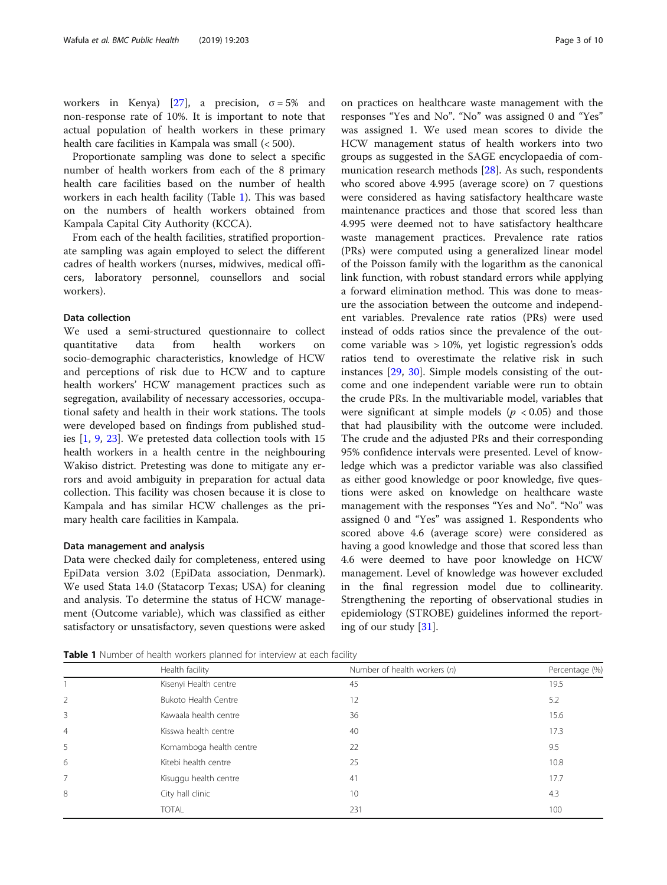workers in Kenya) [[27\]](#page-9-0), a precision,  $\sigma = 5\%$  and non-response rate of 10%. It is important to note that actual population of health workers in these primary health care facilities in Kampala was small (< 500).

Proportionate sampling was done to select a specific number of health workers from each of the 8 primary health care facilities based on the number of health workers in each health facility (Table 1). This was based on the numbers of health workers obtained from Kampala Capital City Authority (KCCA).

From each of the health facilities, stratified proportionate sampling was again employed to select the different cadres of health workers (nurses, midwives, medical officers, laboratory personnel, counsellors and social workers).

### Data collection

We used a semi-structured questionnaire to collect quantitative data from health workers on socio-demographic characteristics, knowledge of HCW and perceptions of risk due to HCW and to capture health workers' HCW management practices such as segregation, availability of necessary accessories, occupational safety and health in their work stations. The tools were developed based on findings from published studies [\[1,](#page-8-0) [9](#page-8-0), [23\]](#page-9-0). We pretested data collection tools with 15 health workers in a health centre in the neighbouring Wakiso district. Pretesting was done to mitigate any errors and avoid ambiguity in preparation for actual data collection. This facility was chosen because it is close to Kampala and has similar HCW challenges as the primary health care facilities in Kampala.

#### Data management and analysis

Data were checked daily for completeness, entered using EpiData version 3.02 (EpiData association, Denmark). We used Stata 14.0 (Statacorp Texas; USA) for cleaning and analysis. To determine the status of HCW management (Outcome variable), which was classified as either satisfactory or unsatisfactory, seven questions were asked on practices on healthcare waste management with the responses "Yes and No". "No" was assigned 0 and "Yes" was assigned 1. We used mean scores to divide the HCW management status of health workers into two groups as suggested in the SAGE encyclopaedia of communication research methods [[28\]](#page-9-0). As such, respondents who scored above 4.995 (average score) on 7 questions were considered as having satisfactory healthcare waste maintenance practices and those that scored less than 4.995 were deemed not to have satisfactory healthcare waste management practices. Prevalence rate ratios (PRs) were computed using a generalized linear model of the Poisson family with the logarithm as the canonical link function, with robust standard errors while applying a forward elimination method. This was done to measure the association between the outcome and independent variables. Prevalence rate ratios (PRs) were used instead of odds ratios since the prevalence of the outcome variable was > 10%, yet logistic regression's odds ratios tend to overestimate the relative risk in such instances [[29,](#page-9-0) [30\]](#page-9-0). Simple models consisting of the outcome and one independent variable were run to obtain the crude PRs. In the multivariable model, variables that were significant at simple models ( $p < 0.05$ ) and those that had plausibility with the outcome were included. The crude and the adjusted PRs and their corresponding 95% confidence intervals were presented. Level of knowledge which was a predictor variable was also classified as either good knowledge or poor knowledge, five questions were asked on knowledge on healthcare waste management with the responses "Yes and No". "No" was assigned 0 and "Yes" was assigned 1. Respondents who scored above 4.6 (average score) were considered as having a good knowledge and those that scored less than 4.6 were deemed to have poor knowledge on HCW management. Level of knowledge was however excluded in the final regression model due to collinearity. Strengthening the reporting of observational studies in epidemiology (STROBE) guidelines informed the reporting of our study [\[31](#page-9-0)].

Table 1 Number of health workers planned for interview at each facility

|                | Health facility             | Number of health workers $(n)$ | Percentage (%) |
|----------------|-----------------------------|--------------------------------|----------------|
|                | Kisenyi Health centre       | 45                             | 19.5           |
| 2              | <b>Bukoto Health Centre</b> | 12                             | 5.2            |
| 3              | Kawaala health centre       | 36                             | 15.6           |
| $\overline{4}$ | Kisswa health centre        | 40                             | 17.3           |
| 5              | Komamboga health centre     | 22                             | 9.5            |
| 6              | Kitebi health centre        | 25                             | 10.8           |
| $\overline{7}$ | Kisuggu health centre       | 41                             | 17.7           |
| 8              | City hall clinic            | 10                             | 4.3            |
|                | <b>TOTAL</b>                | 231                            | 100            |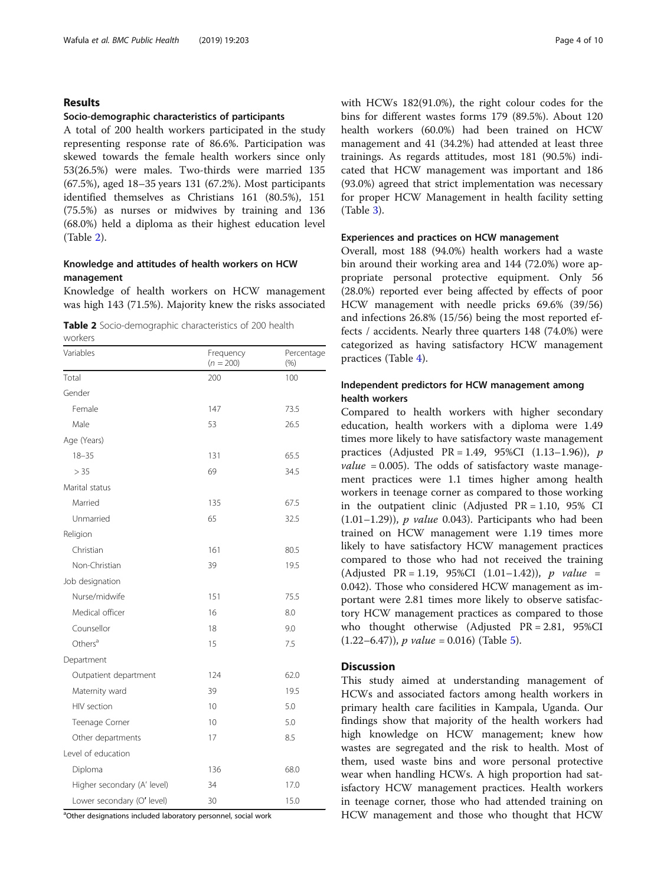### Results

### Socio-demographic characteristics of participants

A total of 200 health workers participated in the study representing response rate of 86.6%. Participation was skewed towards the female health workers since only 53(26.5%) were males. Two-thirds were married 135 (67.5%), aged 18–35 years 131 (67.2%). Most participants identified themselves as Christians 161 (80.5%), 151 (75.5%) as nurses or midwives by training and 136 (68.0%) held a diploma as their highest education level (Table 2).

### Knowledge and attitudes of health workers on HCW management

Knowledge of health workers on HCW management was high 143 (71.5%). Majority knew the risks associated

Table 2 Socio-demographic characteristics of 200 health workers

| Variables                   | Frequency<br>$(n = 200)$ | Percentage<br>(% ) |
|-----------------------------|--------------------------|--------------------|
| Total                       | 200                      | 100                |
| Gender                      |                          |                    |
| Female                      | 147                      | 73.5               |
| Male                        | 53                       | 26.5               |
| Age (Years)                 |                          |                    |
| $18 - 35$                   | 131                      | 65.5               |
| > 35                        | 69                       | 34.5               |
| Marital status              |                          |                    |
| Married                     | 135                      | 67.5               |
| Unmarried                   | 65                       | 32.5               |
| Religion                    |                          |                    |
| Christian                   | 161                      | 80.5               |
| Non-Christian               | 39                       | 19.5               |
| Job designation             |                          |                    |
| Nurse/midwife               | 151                      | 75.5               |
| Medical officer             | 16                       | 8.0                |
| Counsellor                  | 18                       | 9.0                |
| Others <sup>a</sup>         | 15                       | 7.5                |
| Department                  |                          |                    |
| Outpatient department       | 124                      | 62.0               |
| Maternity ward              | 39                       | 19.5               |
| HIV section                 | 10 <sup>1</sup>          | 5.0                |
| Teenage Corner              | 10                       | 5.0                |
| Other departments           | 17                       | 8.5                |
| Level of education          |                          |                    |
| Diploma                     | 136                      | 68.0               |
| Higher secondary (A' level) | 34                       | 17.0               |
| Lower secondary (O' level)  | 30                       | 15.0               |

<sup>a</sup>Other designations included laboratory personnel, social work

with HCWs 182(91.0%), the right colour codes for the bins for different wastes forms 179 (89.5%). About 120 health workers (60.0%) had been trained on HCW management and 41 (34.2%) had attended at least three trainings. As regards attitudes, most 181 (90.5%) indicated that HCW management was important and 186 (93.0%) agreed that strict implementation was necessary for proper HCW Management in health facility setting (Table [3\)](#page-4-0).

### Experiences and practices on HCW management

Overall, most 188 (94.0%) health workers had a waste bin around their working area and 144 (72.0%) wore appropriate personal protective equipment. Only 56 (28.0%) reported ever being affected by effects of poor HCW management with needle pricks 69.6% (39/56) and infections 26.8% (15/56) being the most reported effects / accidents. Nearly three quarters 148 (74.0%) were categorized as having satisfactory HCW management practices (Table [4\)](#page-5-0).

### Independent predictors for HCW management among health workers

Compared to health workers with higher secondary education, health workers with a diploma were 1.49 times more likely to have satisfactory waste management practices (Adjusted PR = 1.49, 95%CI  $(1.13-1.96)$ ), p *value* = 0.005). The odds of satisfactory waste management practices were 1.1 times higher among health workers in teenage corner as compared to those working in the outpatient clinic (Adjusted PR = 1.10, 95% CI  $(1.01-1.29)$ , *p value* 0.043). Participants who had been trained on HCW management were 1.19 times more likely to have satisfactory HCW management practices compared to those who had not received the training (Adjusted PR = 1.19, 95%CI  $(1.01-1.42)$ ), p value = 0.042). Those who considered HCW management as important were 2.81 times more likely to observe satisfactory HCW management practices as compared to those who thought otherwise (Adjusted PR = 2.81, 95%CI  $(1.22-6.47)$ , *p* value = 0.016) (Table [5\)](#page-6-0).

### **Discussion**

This study aimed at understanding management of HCWs and associated factors among health workers in primary health care facilities in Kampala, Uganda. Our findings show that majority of the health workers had high knowledge on HCW management; knew how wastes are segregated and the risk to health. Most of them, used waste bins and wore personal protective wear when handling HCWs. A high proportion had satisfactory HCW management practices. Health workers in teenage corner, those who had attended training on HCW management and those who thought that HCW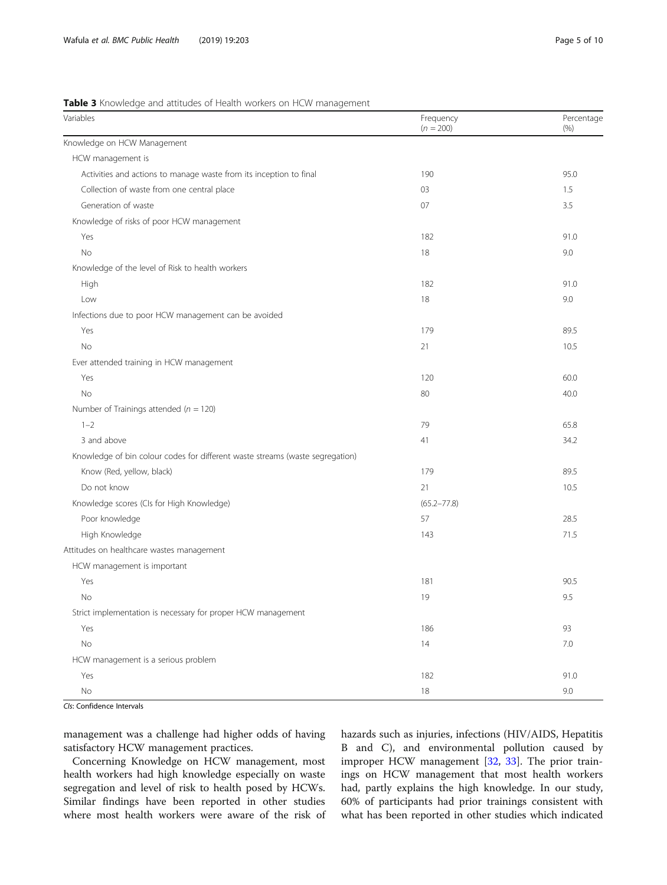### <span id="page-4-0"></span>Table 3 Knowledge and attitudes of Health workers on HCW management

| Variables                                                                     | Frequency<br>$(n = 200)$ | Percentage<br>$(\% )$ |
|-------------------------------------------------------------------------------|--------------------------|-----------------------|
| Knowledge on HCW Management                                                   |                          |                       |
| HCW management is                                                             |                          |                       |
| Activities and actions to manage waste from its inception to final            | 190                      | 95.0                  |
| Collection of waste from one central place                                    | 03                       | 1.5                   |
| Generation of waste                                                           | 07                       | 3.5                   |
| Knowledge of risks of poor HCW management                                     |                          |                       |
| Yes                                                                           | 182                      | 91.0                  |
| No                                                                            | 18                       | 9.0                   |
| Knowledge of the level of Risk to health workers                              |                          |                       |
| High                                                                          | 182                      | 91.0                  |
| Low                                                                           | 18                       | 9.0                   |
| Infections due to poor HCW management can be avoided                          |                          |                       |
| Yes                                                                           | 179                      | 89.5                  |
| No                                                                            | 21                       | 10.5                  |
| Ever attended training in HCW management                                      |                          |                       |
| Yes                                                                           | 120                      | 60.0                  |
| No                                                                            | 80                       | 40.0                  |
| Number of Trainings attended ( $n = 120$ )                                    |                          |                       |
| $1 - 2$                                                                       | 79                       | 65.8                  |
| 3 and above                                                                   | 41                       | 34.2                  |
| Knowledge of bin colour codes for different waste streams (waste segregation) |                          |                       |
| Know (Red, yellow, black)                                                     | 179                      | 89.5                  |
| Do not know                                                                   | 21                       | 10.5                  |
| Knowledge scores (CIs for High Knowledge)                                     | $(65.2 - 77.8)$          |                       |
| Poor knowledge                                                                | 57                       | 28.5                  |
| High Knowledge                                                                | 143                      | 71.5                  |
| Attitudes on healthcare wastes management                                     |                          |                       |
| HCW management is important                                                   |                          |                       |
| Yes                                                                           | 181                      | 90.5                  |
| No                                                                            | 19                       | 9.5                   |
| Strict implementation is necessary for proper HCW management                  |                          |                       |
| Yes                                                                           | 186                      | 93                    |
| $\rm No$                                                                      | 14                       | $7.0\,$               |
| HCW management is a serious problem                                           |                          |                       |
| Yes                                                                           | 182                      | 91.0                  |
| $\rm No$                                                                      | 18                       | 9.0                   |

CIs: Confidence Intervals

management was a challenge had higher odds of having satisfactory HCW management practices.

Concerning Knowledge on HCW management, most health workers had high knowledge especially on waste segregation and level of risk to health posed by HCWs. Similar findings have been reported in other studies where most health workers were aware of the risk of hazards such as injuries, infections (HIV/AIDS, Hepatitis B and C), and environmental pollution caused by improper HCW management [\[32](#page-9-0), [33](#page-9-0)]. The prior trainings on HCW management that most health workers had, partly explains the high knowledge. In our study, 60% of participants had prior trainings consistent with what has been reported in other studies which indicated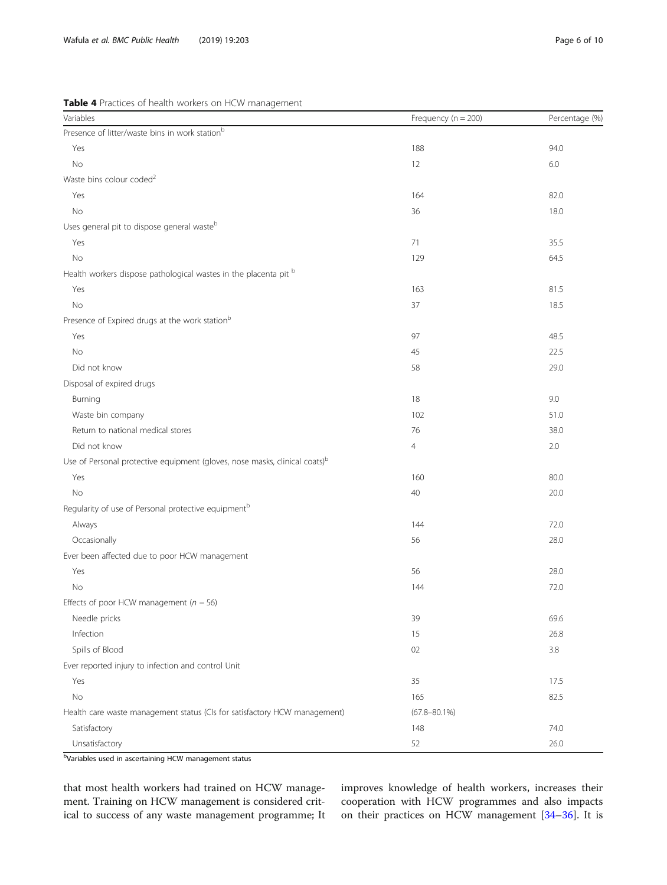<span id="page-5-0"></span>

|  |  | Table 4 Practices of health workers on HCW management |
|--|--|-------------------------------------------------------|
|  |  |                                                       |

| Variables                                                                              | Frequency ( $n = 200$ ) | Percentage (%) |
|----------------------------------------------------------------------------------------|-------------------------|----------------|
| Presence of litter/waste bins in work station <sup>b</sup>                             |                         |                |
| Yes                                                                                    | 188                     | 94.0           |
| No                                                                                     | 12                      | 6.0            |
| Waste bins colour coded <sup>2</sup>                                                   |                         |                |
| Yes                                                                                    | 164                     | 82.0           |
| No                                                                                     | 36                      | 18.0           |
| Uses general pit to dispose general wasteb                                             |                         |                |
| Yes                                                                                    | 71                      | 35.5           |
| No                                                                                     | 129                     | 64.5           |
| Health workers dispose pathological wastes in the placenta pit b                       |                         |                |
| Yes                                                                                    | 163                     | 81.5           |
| No                                                                                     | 37                      | 18.5           |
| Presence of Expired drugs at the work station <sup>b</sup>                             |                         |                |
| Yes                                                                                    | 97                      | 48.5           |
| No                                                                                     | 45                      | 22.5           |
| Did not know                                                                           | 58                      | 29.0           |
| Disposal of expired drugs                                                              |                         |                |
| Burning                                                                                | 18                      | 9.0            |
| Waste bin company                                                                      | 102                     | 51.0           |
| Return to national medical stores                                                      | 76                      | 38.0           |
| Did not know                                                                           | $\overline{4}$          | 2.0            |
| Use of Personal protective equipment (gloves, nose masks, clinical coats) <sup>b</sup> |                         |                |
| Yes                                                                                    | 160                     | 80.0           |
| No                                                                                     | 40                      | 20.0           |
| Regularity of use of Personal protective equipment <sup>b</sup>                        |                         |                |
| Always                                                                                 | 144                     | 72.0           |
| Occasionally                                                                           | 56                      | 28.0           |
| Ever been affected due to poor HCW management                                          |                         |                |
| Yes                                                                                    | 56                      | 28.0           |
| No                                                                                     | 144                     | 72.0           |
| Effects of poor HCW management ( $n = 56$ )                                            |                         |                |
| Needle pricks                                                                          | 39                      | 69.6           |
| Infection                                                                              | 15                      | 26.8           |
| Spills of Blood                                                                        | 02                      | 3.8            |
| Ever reported injury to infection and control Unit                                     |                         |                |
| Yes                                                                                    | 35                      | 17.5           |
| $\rm No$                                                                               | 165                     | 82.5           |
| Health care waste management status (CIs for satisfactory HCW management)              | $(67.8 - 80.1\%)$       |                |
| Satisfactory                                                                           | 148                     | 74.0           |
| Unsatisfactory                                                                         | 52                      | 26.0           |

<sup>b</sup>Variables used in ascertaining HCW management status

that most health workers had trained on HCW management. Training on HCW management is considered critical to success of any waste management programme; It improves knowledge of health workers, increases their cooperation with HCW programmes and also impacts on their practices on HCW management [\[34](#page-9-0)–[36\]](#page-9-0). It is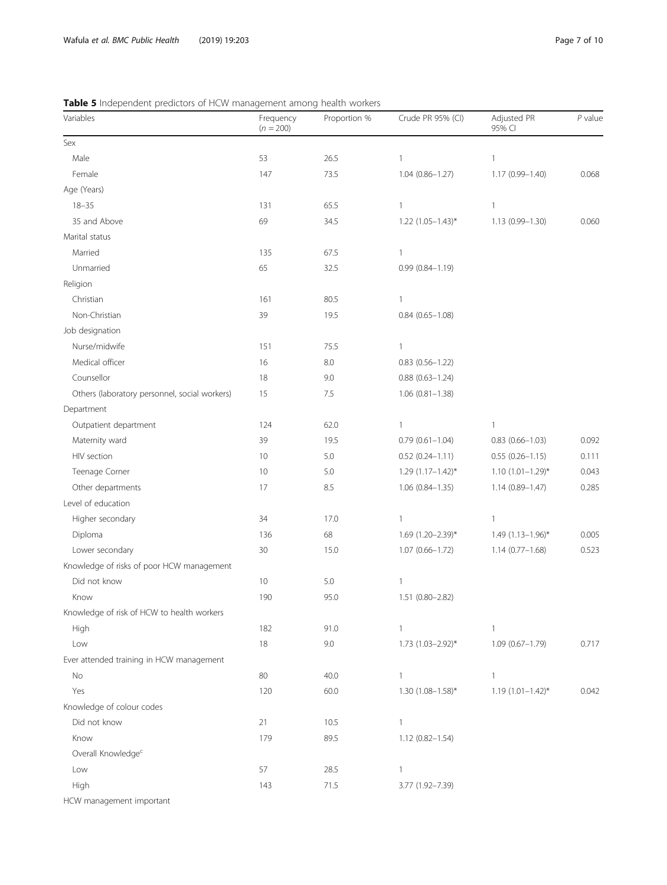<span id="page-6-0"></span>

|  | <b>Table 5</b> Independent predictors of HCW management among health workers |
|--|------------------------------------------------------------------------------|
|  |                                                                              |

| Variables                                     | Frequency<br>$(n = 200)$ | Proportion % | Crude PR 95% (CI)       | Adjusted PR<br>95% CI   | $P$ value |
|-----------------------------------------------|--------------------------|--------------|-------------------------|-------------------------|-----------|
| Sex                                           |                          |              |                         |                         |           |
| Male                                          | 53                       | 26.5         | $\mathbf{1}$            | $\mathbf{1}$            |           |
| Female                                        | 147                      | 73.5         | 1.04 (0.86-1.27)        | 1.17 (0.99-1.40)        | 0.068     |
| Age (Years)                                   |                          |              |                         |                         |           |
| $18 - 35$                                     | 131                      | 65.5         | $\mathbf{1}$            | $\mathbf{1}$            |           |
| 35 and Above                                  | 69                       | 34.5         | $1.22$ $(1.05-1.43)$ *  | 1.13 (0.99-1.30)        | 0.060     |
| Marital status                                |                          |              |                         |                         |           |
| Married                                       | 135                      | 67.5         | 1                       |                         |           |
| Unmarried                                     | 65                       | 32.5         | $0.99(0.84 - 1.19)$     |                         |           |
| Religion                                      |                          |              |                         |                         |           |
| Christian                                     | 161                      | 80.5         | 1                       |                         |           |
| Non-Christian                                 | 39                       | 19.5         | $0.84$ $(0.65 - 1.08)$  |                         |           |
| Job designation                               |                          |              |                         |                         |           |
| Nurse/midwife                                 | 151                      | 75.5         | 1                       |                         |           |
| Medical officer                               | 16                       | 8.0          | $0.83(0.56 - 1.22)$     |                         |           |
| Counsellor                                    | 18                       | 9.0          | $0.88(0.63 - 1.24)$     |                         |           |
| Others (laboratory personnel, social workers) | 15                       | 7.5          | $1.06(0.81 - 1.38)$     |                         |           |
| Department                                    |                          |              |                         |                         |           |
| Outpatient department                         | 124                      | 62.0         | 1                       | $\mathbf{1}$            |           |
| Maternity ward                                | 39                       | 19.5         | $0.79(0.61 - 1.04)$     | $0.83(0.66 - 1.03)$     | 0.092     |
| HIV section                                   | 10                       | 5.0          | $0.52(0.24 - 1.11)$     | $0.55(0.26 - 1.15)$     | 0.111     |
| Teenage Corner                                | 10                       | 5.0          | $1.29(1.17 - 1.42)^{*}$ | $1.10(1.01 - 1.29)^*$   | 0.043     |
| Other departments                             | 17                       | 8.5          | $1.06(0.84 - 1.35)$     | 1.14 (0.89-1.47)        | 0.285     |
| Level of education                            |                          |              |                         |                         |           |
| Higher secondary                              | 34                       | 17.0         | 1                       | $\mathbf{1}$            |           |
| Diploma                                       | 136                      | 68           | 1.69 (1.20-2.39)*       | 1.49 (1.13-1.96)*       | 0.005     |
| Lower secondary                               | 30                       | 15.0         | 1.07 (0.66-1.72)        | $1.14(0.77 - 1.68)$     | 0.523     |
| Knowledge of risks of poor HCW management     |                          |              |                         |                         |           |
| Did not know                                  | 10                       | 5.0          | $\mathbf{1}$            |                         |           |
| Know                                          | 190                      | 95.0         | 1.51 (0.80-2.82)        |                         |           |
| Knowledge of risk of HCW to health workers    |                          |              |                         |                         |           |
| High                                          | 182                      | 91.0         | 1                       | $\mathbf{1}$            |           |
| Low                                           | 18                       | 9.0          | 1.73 (1.03-2.92)*       | 1.09 (0.67-1.79)        | 0.717     |
| Ever attended training in HCW management      |                          |              |                         |                         |           |
| No                                            | 80                       | 40.0         | $\mathbf{1}$            | $\mathbf{1}$            |           |
| Yes                                           | 120                      | 60.0         | $1.30(1.08 - 1.58)$ *   | $1.19(1.01 - 1.42)^{*}$ | 0.042     |
| Knowledge of colour codes                     |                          |              |                         |                         |           |
| Did not know                                  | 21                       | 10.5         | $\mathbf{1}$            |                         |           |
| Know                                          | 179                      | 89.5         | $1.12(0.82 - 1.54)$     |                         |           |
| Overall Knowledge <sup>c</sup>                |                          |              |                         |                         |           |
| Low                                           | 57                       | 28.5         | 1                       |                         |           |
| High                                          | 143                      | 71.5         | 3.77 (1.92-7.39)        |                         |           |
| HCW management important                      |                          |              |                         |                         |           |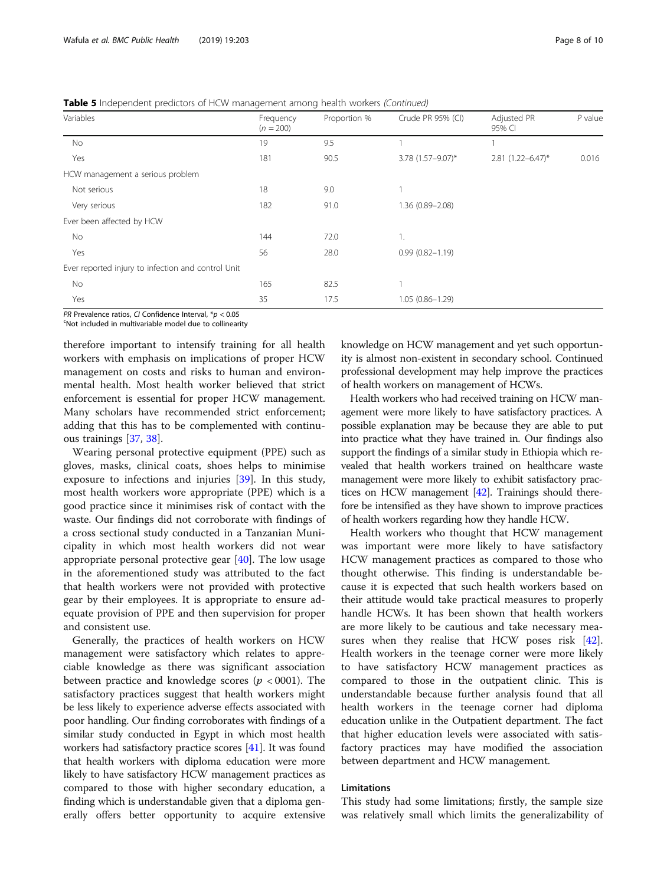Table 5 Independent predictors of HCW management among health workers (Continued)

| Variables                                          | Frequency<br>$(n = 200)$ | Proportion % | Crude PR 95% (CI)   | Adjusted PR<br>95% CI | $P$ value |
|----------------------------------------------------|--------------------------|--------------|---------------------|-----------------------|-----------|
| No                                                 | 19                       | 9.5          |                     |                       |           |
| Yes                                                | 181                      | 90.5         | 3.78 (1.57-9.07)*   | $2.81(1.22 - 6.47)^*$ | 0.016     |
| HCW management a serious problem                   |                          |              |                     |                       |           |
| Not serious                                        | 18                       | 9.0          |                     |                       |           |
| Very serious                                       | 182                      | 91.0         | 1.36 (0.89-2.08)    |                       |           |
| Ever been affected by HCW                          |                          |              |                     |                       |           |
| No                                                 | 144                      | 72.0         | Τ.                  |                       |           |
| Yes                                                | 56                       | 28.0         | $0.99(0.82 - 1.19)$ |                       |           |
| Ever reported injury to infection and control Unit |                          |              |                     |                       |           |
| No                                                 | 165                      | 82.5         |                     |                       |           |
| Yes                                                | 35                       | 17.5         | $1.05(0.86 - 1.29)$ |                       |           |

PR Prevalence ratios, CI Confidence Interval,  $p < 0.05$ 

Not included in multivariable model due to collinearity

therefore important to intensify training for all health workers with emphasis on implications of proper HCW management on costs and risks to human and environmental health. Most health worker believed that strict enforcement is essential for proper HCW management. Many scholars have recommended strict enforcement; adding that this has to be complemented with continuous trainings [[37](#page-9-0), [38](#page-9-0)].

Wearing personal protective equipment (PPE) such as gloves, masks, clinical coats, shoes helps to minimise exposure to infections and injuries [[39](#page-9-0)]. In this study, most health workers wore appropriate (PPE) which is a good practice since it minimises risk of contact with the waste. Our findings did not corroborate with findings of a cross sectional study conducted in a Tanzanian Municipality in which most health workers did not wear appropriate personal protective gear [\[40](#page-9-0)]. The low usage in the aforementioned study was attributed to the fact that health workers were not provided with protective gear by their employees. It is appropriate to ensure adequate provision of PPE and then supervision for proper and consistent use.

Generally, the practices of health workers on HCW management were satisfactory which relates to appreciable knowledge as there was significant association between practice and knowledge scores ( $p < 0001$ ). The satisfactory practices suggest that health workers might be less likely to experience adverse effects associated with poor handling. Our finding corroborates with findings of a similar study conducted in Egypt in which most health workers had satisfactory practice scores [\[41\]](#page-9-0). It was found that health workers with diploma education were more likely to have satisfactory HCW management practices as compared to those with higher secondary education, a finding which is understandable given that a diploma generally offers better opportunity to acquire extensive knowledge on HCW management and yet such opportunity is almost non-existent in secondary school. Continued professional development may help improve the practices of health workers on management of HCWs.

Health workers who had received training on HCW management were more likely to have satisfactory practices. A possible explanation may be because they are able to put into practice what they have trained in. Our findings also support the findings of a similar study in Ethiopia which revealed that health workers trained on healthcare waste management were more likely to exhibit satisfactory practices on HCW management [\[42\]](#page-9-0). Trainings should therefore be intensified as they have shown to improve practices of health workers regarding how they handle HCW.

Health workers who thought that HCW management was important were more likely to have satisfactory HCW management practices as compared to those who thought otherwise. This finding is understandable because it is expected that such health workers based on their attitude would take practical measures to properly handle HCWs. It has been shown that health workers are more likely to be cautious and take necessary mea-sures when they realise that HCW poses risk [\[42](#page-9-0)]. Health workers in the teenage corner were more likely to have satisfactory HCW management practices as compared to those in the outpatient clinic. This is understandable because further analysis found that all health workers in the teenage corner had diploma education unlike in the Outpatient department. The fact that higher education levels were associated with satisfactory practices may have modified the association between department and HCW management.

### Limitations

This study had some limitations; firstly, the sample size was relatively small which limits the generalizability of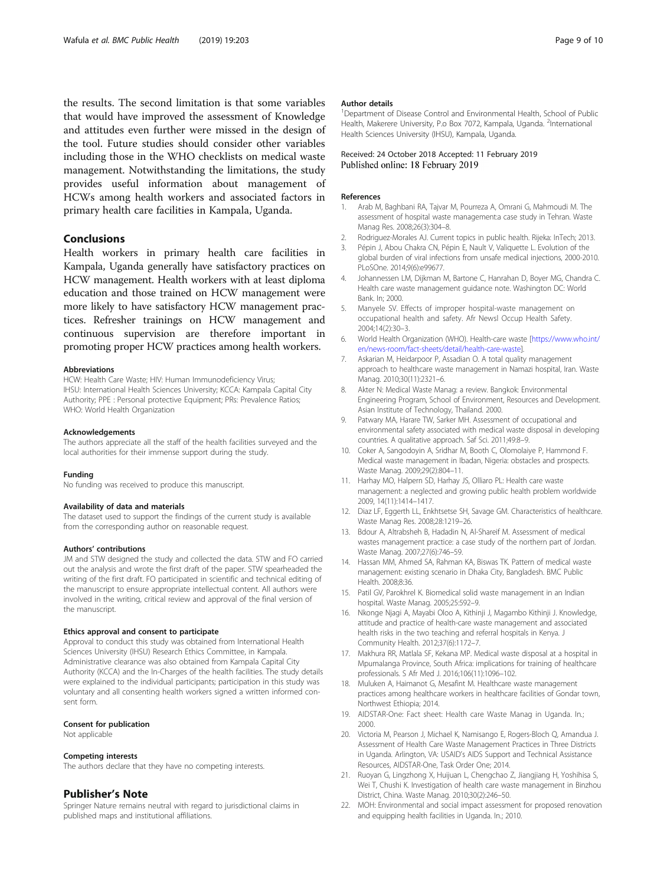<span id="page-8-0"></span>the results. The second limitation is that some variables that would have improved the assessment of Knowledge and attitudes even further were missed in the design of the tool. Future studies should consider other variables including those in the WHO checklists on medical waste management. Notwithstanding the limitations, the study provides useful information about management of HCWs among health workers and associated factors in primary health care facilities in Kampala, Uganda.

### Conclusions

Health workers in primary health care facilities in Kampala, Uganda generally have satisfactory practices on HCW management. Health workers with at least diploma education and those trained on HCW management were more likely to have satisfactory HCW management practices. Refresher trainings on HCW management and continuous supervision are therefore important in promoting proper HCW practices among health workers.

#### Abbreviations

HCW: Health Care Waste; HIV: Human Immunodeficiency Virus; IHSU: International Health Sciences University; KCCA: Kampala Capital City Authority; PPE : Personal protective Equipment; PRs: Prevalence Ratios; WHO: World Health Organization

#### Acknowledgements

The authors appreciate all the staff of the health facilities surveyed and the local authorities for their immense support during the study.

#### Funding

No funding was received to produce this manuscript.

#### Availability of data and materials

The dataset used to support the findings of the current study is available from the corresponding author on reasonable request.

#### Authors' contributions

JM and STW designed the study and collected the data. STW and FO carried out the analysis and wrote the first draft of the paper. STW spearheaded the writing of the first draft. FO participated in scientific and technical editing of the manuscript to ensure appropriate intellectual content. All authors were involved in the writing, critical review and approval of the final version of the manuscript.

#### Ethics approval and consent to participate

Approval to conduct this study was obtained from International Health Sciences University (IHSU) Research Ethics Committee, in Kampala. Administrative clearance was also obtained from Kampala Capital City Authority (KCCA) and the In-Charges of the health facilities. The study details were explained to the individual participants; participation in this study was voluntary and all consenting health workers signed a written informed consent form.

#### Consent for publication

Not applicable

#### Competing interests

The authors declare that they have no competing interests.

#### Publisher's Note

Springer Nature remains neutral with regard to jurisdictional claims in published maps and institutional affiliations.

#### Author details

<sup>1</sup>Department of Disease Control and Environmental Health, School of Public Health, Makerere University, P.o Box 7072, Kampala, Uganda. <sup>2</sup>International Health Sciences University (IHSU), Kampala, Uganda.

### Received: 24 October 2018 Accepted: 11 February 2019 Published online: 18 February 2019

#### References

- 1. Arab M, Baghbani RA, Tajvar M, Pourreza A, Omrani G, Mahmoudi M. The assessment of hospital waste management:a case study in Tehran. Waste Manag Res. 2008;26(3):304–8.
- 2. Rodriguez-Morales AJ. Current topics in public health. Rijeka: InTech; 2013.
- 3. Pépin J, Abou Chakra CN, Pépin E, Nault V, Valiquette L. Evolution of the global burden of viral infections from unsafe medical injections, 2000-2010. PLoSOne. 2014;9(6):e99677.
- 4. Johannessen LM, Dijkman M, Bartone C, Hanrahan D, Boyer MG, Chandra C. Health care waste management guidance note. Washington DC: World Bank. In; 2000.
- 5. Manyele SV. Effects of improper hospital-waste management on occupational health and safety. Afr Newsl Occup Health Safety. 2004;14(2):30–3.
- 6. World Health Organization (WHO). Health-care waste [[https://www.who.int/](https://www.who.int/en/news-room/fact-sheets/detail/health-care-waste) [en/news-room/fact-sheets/detail/health-care-waste](https://www.who.int/en/news-room/fact-sheets/detail/health-care-waste)].
- 7. Askarian M, Heidarpoor P, Assadian O. A total quality management approach to healthcare waste management in Namazi hospital, Iran. Waste Manag. 2010;30(11):2321–6.
- 8. Akter N: Medical Waste Manag: a review. Bangkok: Environmental Engineering Program, School of Environment, Resources and Development. Asian Institute of Technology, Thailand. 2000.
- 9. Patwary MA, Harare TW, Sarker MH. Assessment of occupational and environmental safety associated with medical waste disposal in developing countries. A qualitative approach. Saf Sci. 2011;49:8–9.
- 10. Coker A, Sangodoyin A, Sridhar M, Booth C, Olomolaiye P, Hammond F. Medical waste management in Ibadan, Nigeria: obstacles and prospects. Waste Manag. 2009;29(2):804–11.
- 11. Harhay MO, Halpern SD, Harhay JS, Olliaro PL: Health care waste management: a neglected and growing public health problem worldwide 2009, 14(11):1414–1417.
- 12. Diaz LF, Eggerth LL, Enkhtsetse SH, Savage GM. Characteristics of healthcare. Waste Manag Res. 2008;28:1219–26.
- 13. Bdour A, Altrabsheh B, Hadadin N, Al-Shareif M. Assessment of medical wastes management practice: a case study of the northern part of Jordan. Waste Manag. 2007;27(6):746–59.
- 14. Hassan MM, Ahmed SA, Rahman KA, Biswas TK. Pattern of medical waste management: existing scenario in Dhaka City, Bangladesh. BMC Public Health. 2008;8:36.
- 15. Patil GV, Parokhrel K. Biomedical solid waste management in an Indian hospital. Waste Manag. 2005;25:592–9.
- 16. Nkonge Njagi A, Mayabi Oloo A, Kithinji J, Magambo Kithinji J. Knowledge, attitude and practice of health-care waste management and associated health risks in the two teaching and referral hospitals in Kenya. J Community Health. 2012;37(6):1172–7.
- 17. Makhura RR, Matlala SF, Kekana MP. Medical waste disposal at a hospital in Mpumalanga Province, South Africa: implications for training of healthcare professionals. S Afr Med J. 2016;106(11):1096–102.
- 18. Muluken A, Haimanot G, Mesafint M. Healthcare waste management practices among healthcare workers in healthcare facilities of Gondar town, Northwest Ethiopia; 2014.
- 19. AIDSTAR-One: Fact sheet: Health care Waste Manag in Uganda. In.; 2000.
- 20. Victoria M, Pearson J, Michael K, Namisango E, Rogers-Bloch Q, Amandua J. Assessment of Health Care Waste Management Practices in Three Districts in Uganda. Arlington, VA: USAID's AIDS Support and Technical Assistance Resources, AIDSTAR-One, Task Order One; 2014.
- 21. Ruoyan G, Lingzhong X, Huijuan L, Chengchao Z, Jiangjiang H, Yoshihisa S, Wei T, Chushi K. Investigation of health care waste management in Binzhou District, China. Waste Manag. 2010;30(2):246–50.
- 22. MOH: Environmental and social impact assessment for proposed renovation and equipping health facilities in Uganda. In.; 2010.